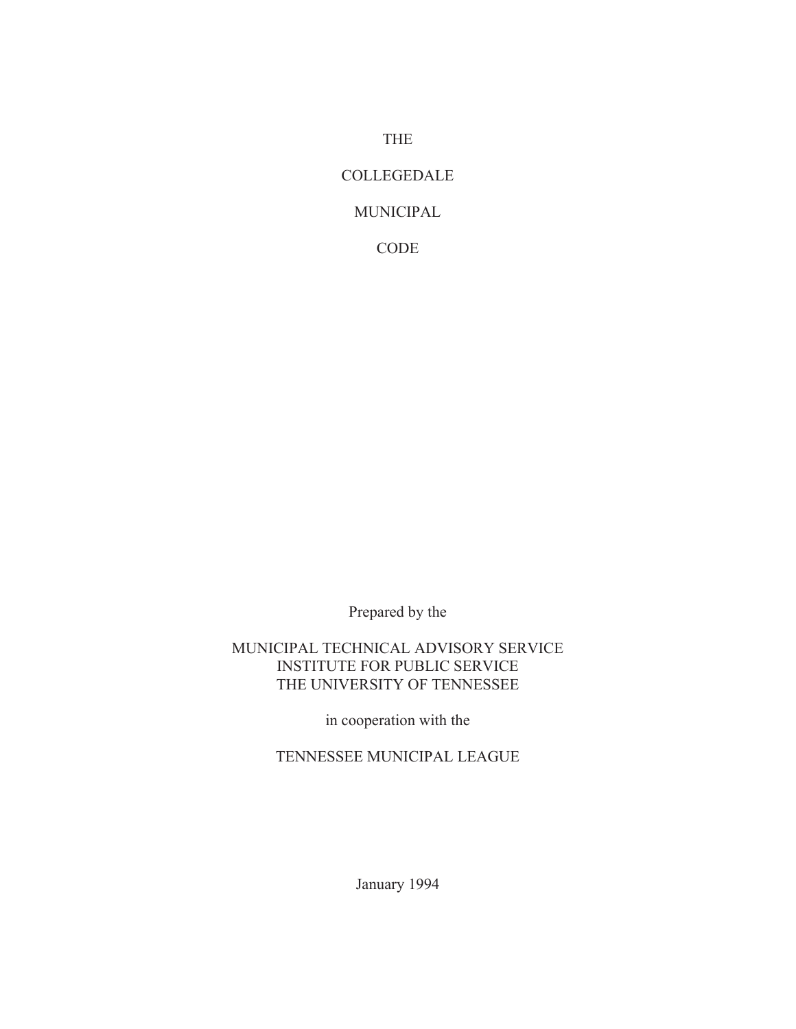THE

#### COLLEGEDALE

### MUNICIPAL

CODE

Prepared by the

#### MUNICIPAL TECHNICAL ADVISORY SERVICE INSTITUTE FOR PUBLIC SERVICE THE UNIVERSITY OF TENNESSEE

in cooperation with the

TENNESSEE MUNICIPAL LEAGUE

January 1994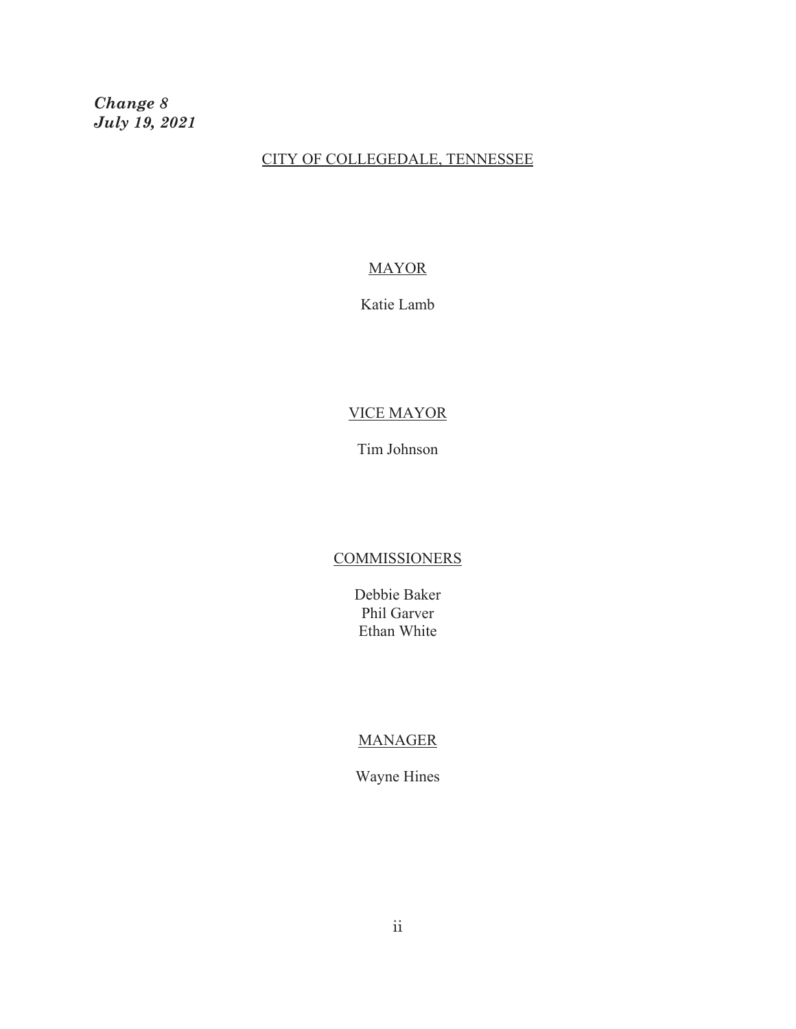*Change 8 July 19, 2021*

#### CITY OF COLLEGEDALE, TENNESSEE

#### MAYOR

Katie Lamb

#### VICE MAYOR

Tim Johnson

#### **COMMISSIONERS**

Debbie Baker Phil Garver Ethan White

#### MANAGER

Wayne Hines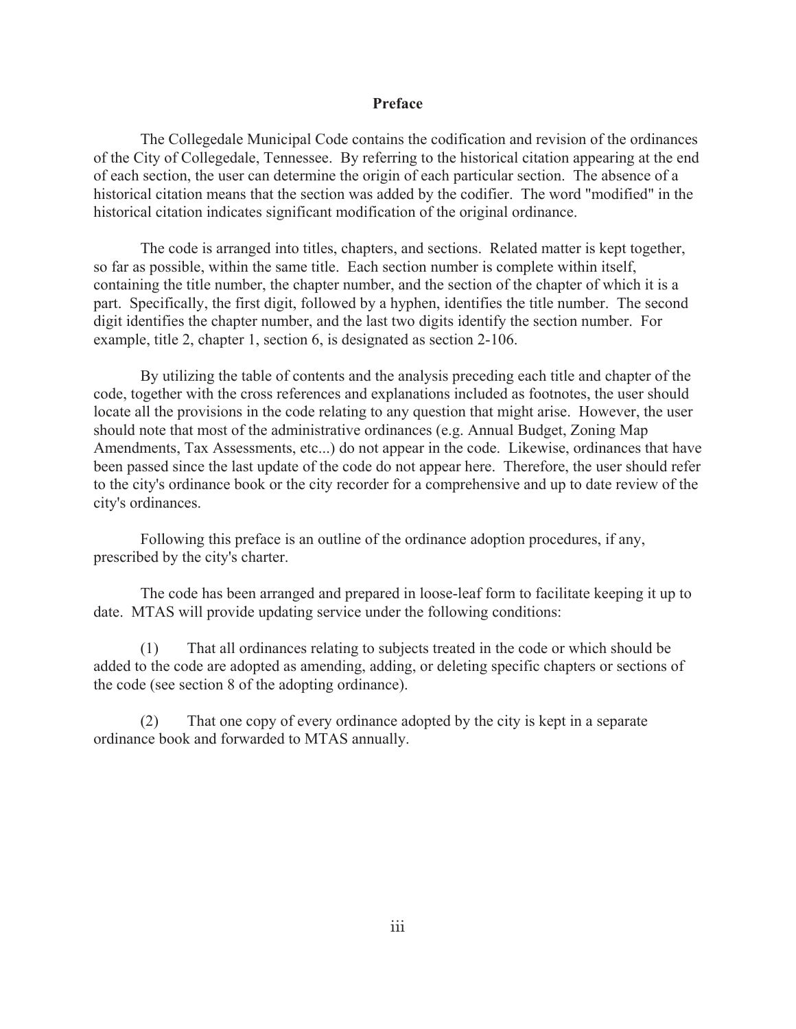#### **Preface**

The Collegedale Municipal Code contains the codification and revision of the ordinances of the City of Collegedale, Tennessee. By referring to the historical citation appearing at the end of each section, the user can determine the origin of each particular section. The absence of a historical citation means that the section was added by the codifier. The word "modified" in the historical citation indicates significant modification of the original ordinance.

The code is arranged into titles, chapters, and sections. Related matter is kept together, so far as possible, within the same title. Each section number is complete within itself, containing the title number, the chapter number, and the section of the chapter of which it is a part. Specifically, the first digit, followed by a hyphen, identifies the title number. The second digit identifies the chapter number, and the last two digits identify the section number. For example, title 2, chapter 1, section 6, is designated as section 2-106.

By utilizing the table of contents and the analysis preceding each title and chapter of the code, together with the cross references and explanations included as footnotes, the user should locate all the provisions in the code relating to any question that might arise. However, the user should note that most of the administrative ordinances (e.g. Annual Budget, Zoning Map Amendments, Tax Assessments, etc...) do not appear in the code. Likewise, ordinances that have been passed since the last update of the code do not appear here. Therefore, the user should refer to the city's ordinance book or the city recorder for a comprehensive and up to date review of the city's ordinances.

Following this preface is an outline of the ordinance adoption procedures, if any, prescribed by the city's charter.

The code has been arranged and prepared in loose-leaf form to facilitate keeping it up to date. MTAS will provide updating service under the following conditions:

(1) That all ordinances relating to subjects treated in the code or which should be added to the code are adopted as amending, adding, or deleting specific chapters or sections of the code (see section 8 of the adopting ordinance).

(2) That one copy of every ordinance adopted by the city is kept in a separate ordinance book and forwarded to MTAS annually.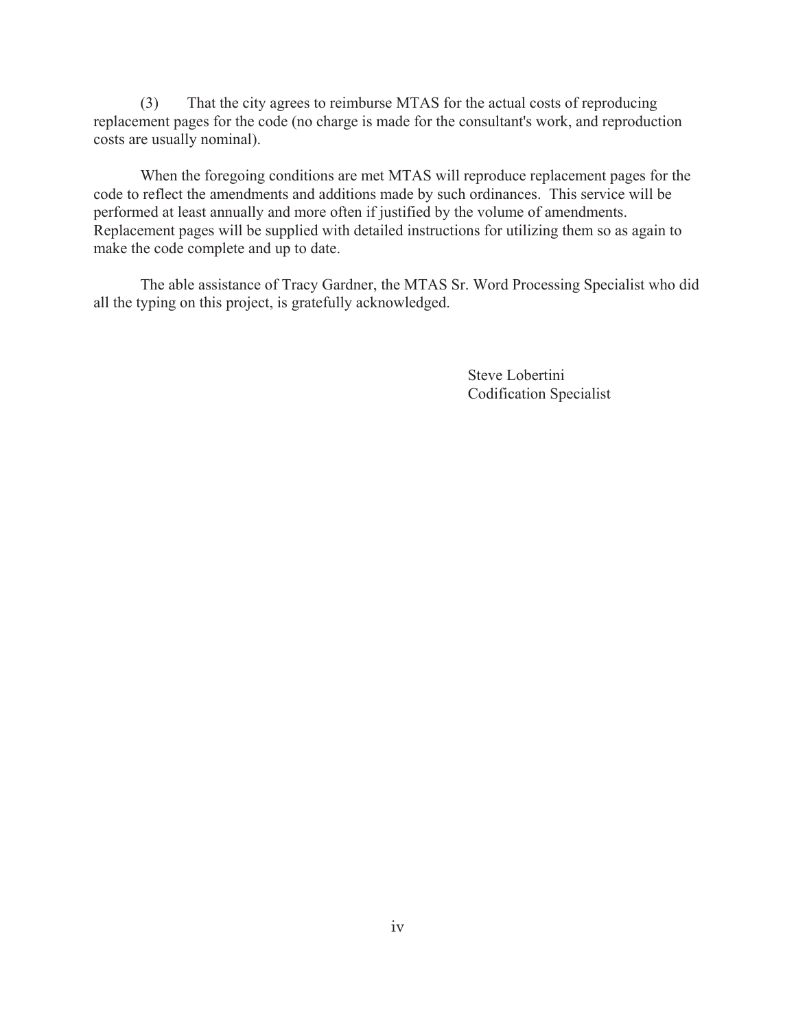(3) That the city agrees to reimburse MTAS for the actual costs of reproducing replacement pages for the code (no charge is made for the consultant's work, and reproduction costs are usually nominal).

When the foregoing conditions are met MTAS will reproduce replacement pages for the code to reflect the amendments and additions made by such ordinances. This service will be performed at least annually and more often if justified by the volume of amendments. Replacement pages will be supplied with detailed instructions for utilizing them so as again to make the code complete and up to date.

The able assistance of Tracy Gardner, the MTAS Sr. Word Processing Specialist who did all the typing on this project, is gratefully acknowledged.

> Steve Lobertini Codification Specialist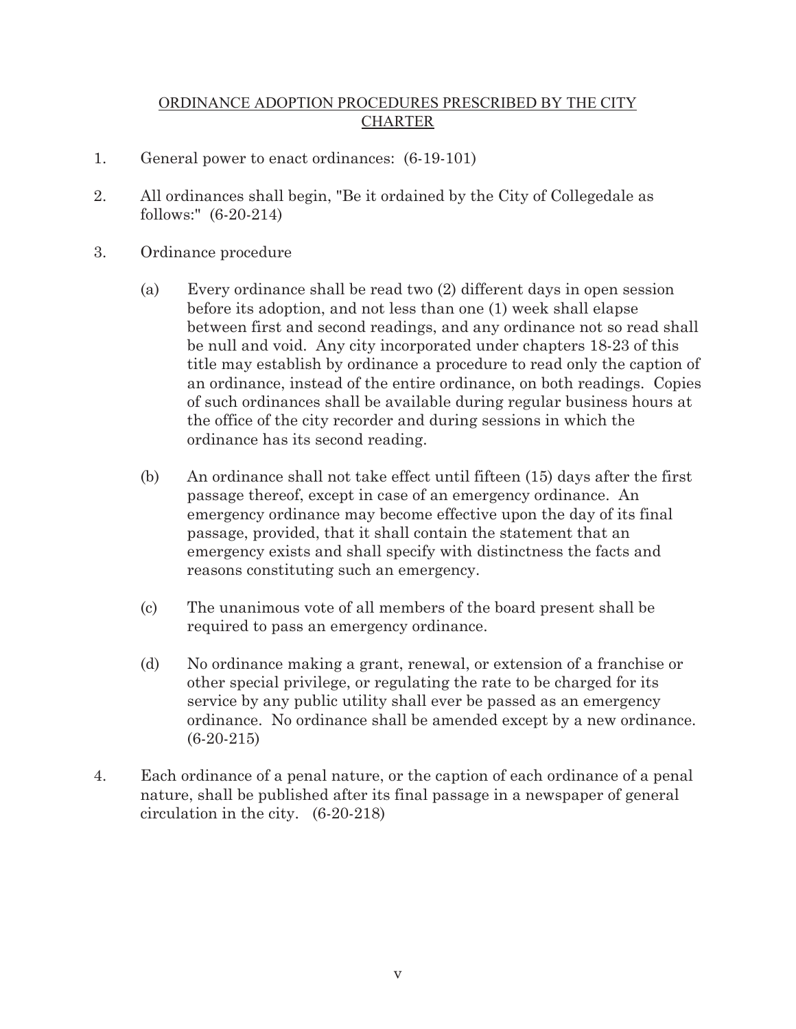#### ORDINANCE ADOPTION PROCEDURES PRESCRIBED BY THE CITY CHARTER

- 1. General power to enact ordinances: (6-19-101)
- 2. All ordinances shall begin, "Be it ordained by the City of Collegedale as follows:" (6-20-214)
- 3. Ordinance procedure
	- (a) Every ordinance shall be read two (2) different days in open session before its adoption, and not less than one (1) week shall elapse between first and second readings, and any ordinance not so read shall be null and void. Any city incorporated under chapters 18-23 of this title may establish by ordinance a procedure to read only the caption of an ordinance, instead of the entire ordinance, on both readings. Copies of such ordinances shall be available during regular business hours at the office of the city recorder and during sessions in which the ordinance has its second reading.
	- (b) An ordinance shall not take effect until fifteen (15) days after the first passage thereof, except in case of an emergency ordinance. An emergency ordinance may become effective upon the day of its final passage, provided, that it shall contain the statement that an emergency exists and shall specify with distinctness the facts and reasons constituting such an emergency.
	- (c) The unanimous vote of all members of the board present shall be required to pass an emergency ordinance.
	- (d) No ordinance making a grant, renewal, or extension of a franchise or other special privilege, or regulating the rate to be charged for its service by any public utility shall ever be passed as an emergency ordinance. No ordinance shall be amended except by a new ordinance. (6-20-215)
- 4. Each ordinance of a penal nature, or the caption of each ordinance of a penal nature, shall be published after its final passage in a newspaper of general circulation in the city. (6-20-218)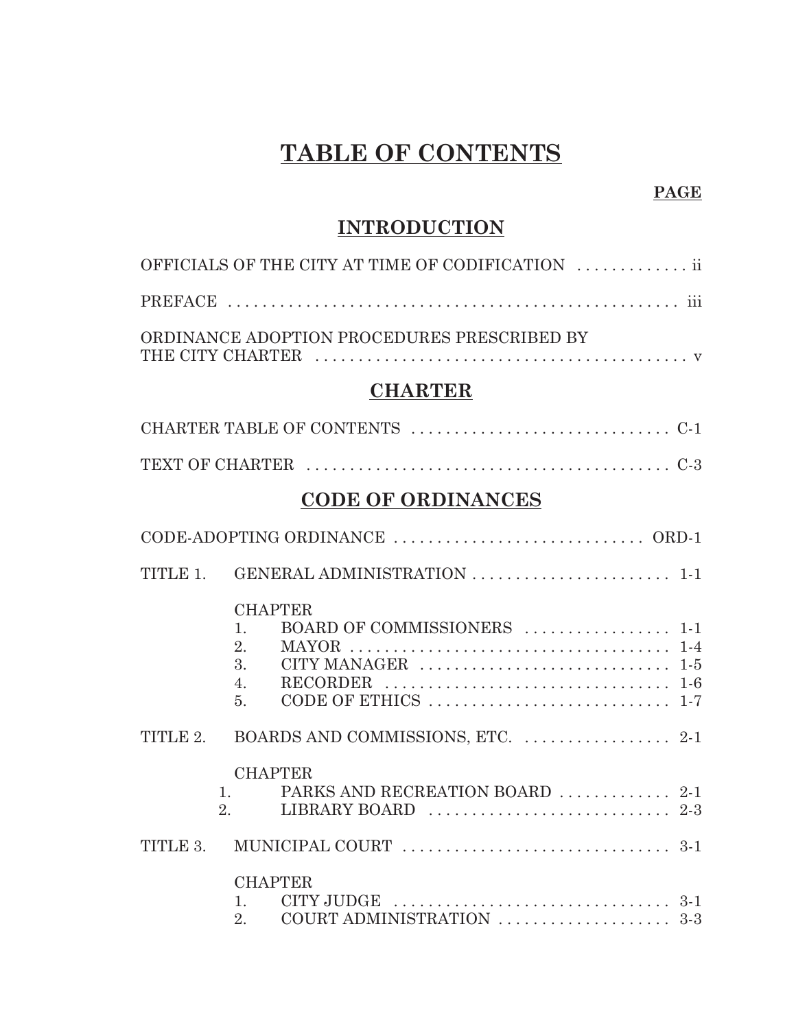# **TABLE OF CONTENTS**

#### **PAGE**

## **INTRODUCTION**

| OFFICIALS OF THE CITY AT TIME OF CODIFICATION  ii |
|---------------------------------------------------|
|                                                   |
| ORDINANCE ADOPTION PROCEDURES PRESCRIBED BY       |

## **CHARTER**

## **CODE OF ORDINANCES**

|          | TITLE 1. GENERAL ADMINISTRATION  1-1                                                                                                                                                                                                                                             |  |
|----------|----------------------------------------------------------------------------------------------------------------------------------------------------------------------------------------------------------------------------------------------------------------------------------|--|
|          | <b>CHAPTER</b><br>BOARD OF COMMISSIONERS  1-1<br>1.<br>2.<br>3.<br>CITY MANAGER $\ldots \ldots \ldots \ldots \ldots \ldots \ldots \ldots \ldots 1-5$<br>RECORDER $\ldots \ldots \ldots \ldots \ldots \ldots \ldots \ldots \ldots \ldots \ldots \ldots$<br>4.<br>$\overline{5}$ . |  |
| TITLE 2. |                                                                                                                                                                                                                                                                                  |  |
|          | <b>CHAPTER</b><br>PARKS AND RECREATION BOARD  2-1<br>1.<br>LIBRARY BOARD $\ldots \ldots \ldots \ldots \ldots \ldots \ldots \ldots 2-3$<br>2 <sub>1</sub>                                                                                                                         |  |
| TITLE 3. |                                                                                                                                                                                                                                                                                  |  |
|          | <b>CHAPTER</b><br>$CITY$ JUDGE $\ldots \ldots \ldots \ldots \ldots \ldots \ldots \ldots \ldots \ldots 3-1$<br>$1 \quad \blacksquare$<br>2.                                                                                                                                       |  |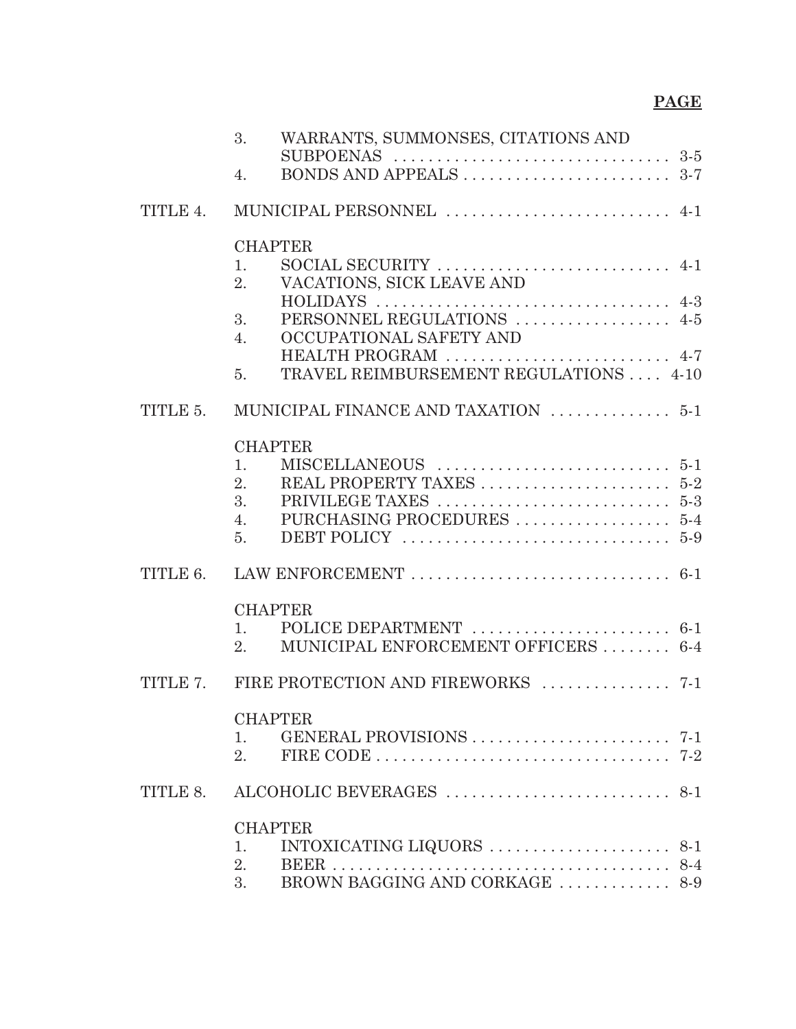# **PAGE**

|          | WARRANTS, SUMMONSES, CITATIONS AND<br>3.                                                        |
|----------|-------------------------------------------------------------------------------------------------|
|          | 4.                                                                                              |
| TITLE 4. | MUNICIPAL PERSONNEL  4-1                                                                        |
|          | <b>CHAPTER</b>                                                                                  |
|          | SOCIAL SECURITY $\ldots \ldots \ldots \ldots \ldots \ldots \ldots \ldots$ 4-1<br>$\mathbf{1}$ . |
|          | VACATIONS, SICK LEAVE AND<br>2 <sub>1</sub>                                                     |
|          | PERSONNEL REGULATIONS  4-5<br>3.                                                                |
|          | OCCUPATIONAL SAFETY AND<br>4.                                                                   |
|          | HEALTH PROGRAM  4-7<br>TRAVEL REIMBURSEMENT REGULATIONS  4-10<br>5.                             |
| TITLE 5. | MUNICIPAL FINANCE AND TAXATION  5-1                                                             |
|          | <b>CHAPTER</b>                                                                                  |
|          | 1.                                                                                              |
|          | $\overline{2}$ .<br>3.                                                                          |
|          | 4.                                                                                              |
|          | $\overline{5}$ .                                                                                |
|          |                                                                                                 |
|          | <b>CHAPTER</b>                                                                                  |
|          | 1.                                                                                              |
|          | MUNICIPAL ENFORCEMENT OFFICERS  6-4<br>2.                                                       |
|          | TITLE 7. FIRE PROTECTION AND FIREWORKS  7-1                                                     |
|          | <b>CHAPTER</b>                                                                                  |
|          | 1.                                                                                              |
|          | 2.                                                                                              |
| TITLE 8. |                                                                                                 |
|          | <b>CHAPTER</b>                                                                                  |
|          | $INTOXICATING LIQUORS \ldots \ldots \ldots \ldots \ldots \ldots 8-1$<br>1.                      |
|          | $8 - 4$<br>2.<br>BEER<br>BROWN BAGGING AND CORKAGE $\ldots \ldots \ldots \ldots$ 8-9<br>3.      |
|          |                                                                                                 |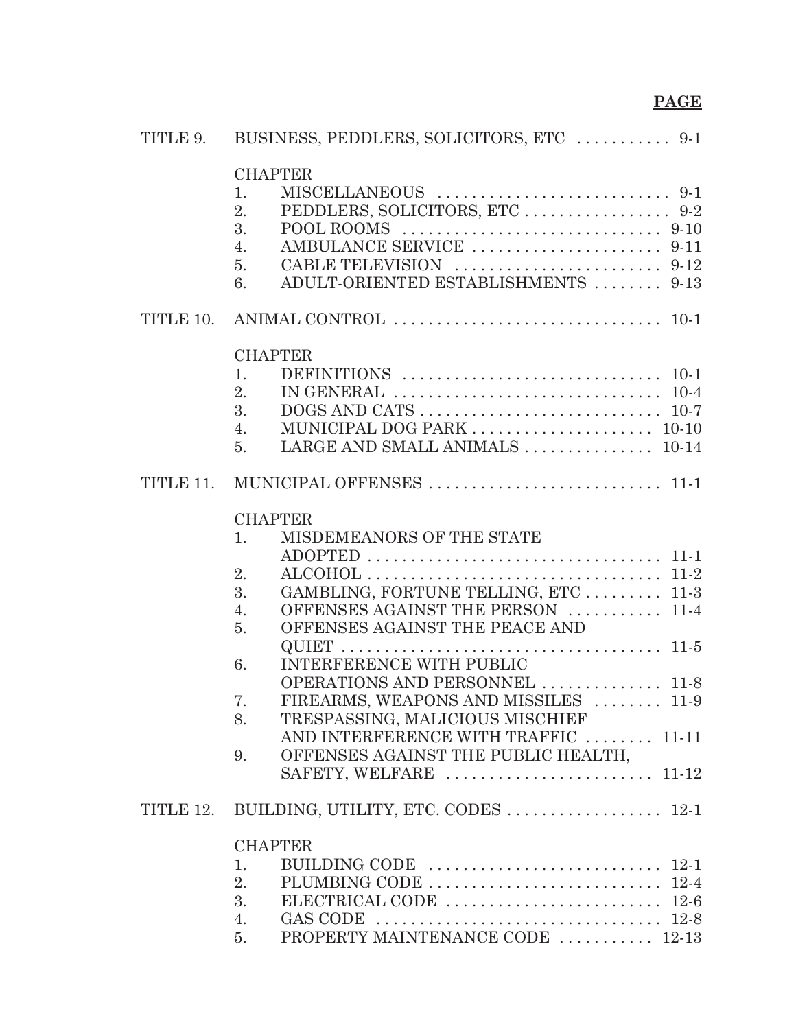| TITLE 9.  | BUSINESS, PEDDLERS, SOLICITORS, ETC  9-1                                                      |
|-----------|-----------------------------------------------------------------------------------------------|
|           | <b>CHAPTER</b>                                                                                |
|           | 1.                                                                                            |
|           | 2.                                                                                            |
|           | 3.<br>POOL ROOMS $\ldots \ldots \ldots \ldots \ldots \ldots \ldots \ldots \ldots \ldots$ 9-10 |
|           | 4.                                                                                            |
|           | 5.                                                                                            |
|           | ADULT-ORIENTED ESTABLISHMENTS  9-13<br>6.                                                     |
| TITLE 10. |                                                                                               |
|           | <b>CHAPTER</b>                                                                                |
|           | 1.                                                                                            |
|           | 2.<br>IN GENERAL $\ldots \ldots \ldots \ldots \ldots \ldots \ldots \ldots \ldots \ldots 10-4$ |
|           | 3.                                                                                            |
|           |                                                                                               |
|           | 4.                                                                                            |
|           | LARGE AND SMALL ANIMALS  10-14<br>$\overline{5}$ .                                            |
| TITLE 11. |                                                                                               |
|           | <b>CHAPTER</b>                                                                                |
|           | MISDEMEANORS OF THE STATE<br>1.                                                               |
|           |                                                                                               |
|           | $\overline{2}$ .                                                                              |
|           | GAMBLING, FORTUNE TELLING, ETC 11-3<br>3.                                                     |
|           | OFFENSES AGAINST THE PERSON  11-4<br>4.                                                       |
|           | OFFENSES AGAINST THE PEACE AND<br>5.                                                          |
|           |                                                                                               |
|           | INTERFERENCE WITH PUBLIC<br>6.                                                                |
|           | OPERATIONS AND PERSONNEL  11-8                                                                |
|           | FIREARMS, WEAPONS AND MISSILES  11-9<br>7.                                                    |
|           | TRESPASSING, MALICIOUS MISCHIEF<br>8.                                                         |
|           | AND INTERFERENCE WITH TRAFFIC  11-11                                                          |
|           | OFFENSES AGAINST THE PUBLIC HEALTH,<br>9.                                                     |
|           | SAFETY, WELFARE  11-12                                                                        |
| TITLE 12. |                                                                                               |
|           | <b>CHAPTER</b>                                                                                |
|           | BUILDING CODE $\ldots \ldots \ldots \ldots \ldots \ldots \ldots \ldots \ldots 12-1$<br>1.     |
|           | 2.                                                                                            |
|           | 3.                                                                                            |
|           | 4.                                                                                            |
|           | PROPERTY MAINTENANCE CODE  12-13<br>5.                                                        |
|           |                                                                                               |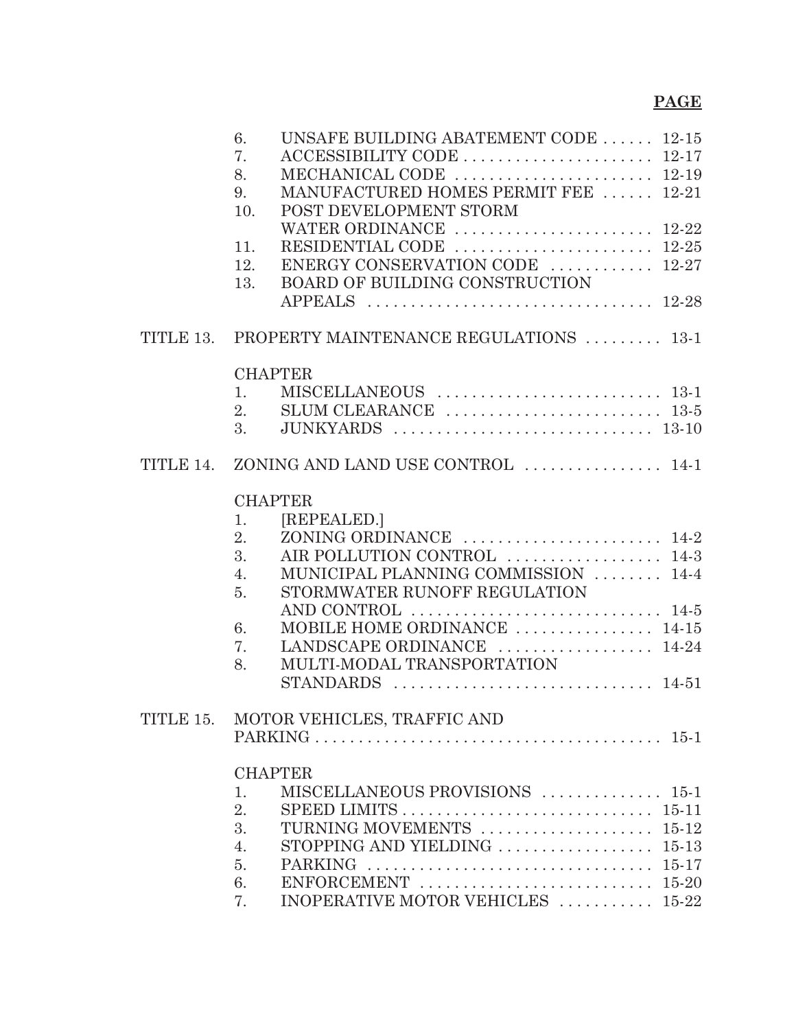## **PAGE**

|           | UNSAFE BUILDING ABATEMENT CODE  12-15<br>6.                                              |  |
|-----------|------------------------------------------------------------------------------------------|--|
|           | 7.                                                                                       |  |
|           | MECHANICAL CODE  12-19<br>8.                                                             |  |
|           | MANUFACTURED HOMES PERMIT FEE  12-21<br>9.                                               |  |
|           | POST DEVELOPMENT STORM<br>10.                                                            |  |
|           | WATER ORDINANCE  12-22                                                                   |  |
|           | RESIDENTIAL CODE $\ldots \ldots \ldots \ldots \ldots \ldots \ldots 12-25$<br>11.         |  |
|           | ENERGY CONSERVATION CODE  12-27<br>12.                                                   |  |
|           | BOARD OF BUILDING CONSTRUCTION<br>13.                                                    |  |
|           |                                                                                          |  |
|           | TITLE 13. PROPERTY MAINTENANCE REGULATIONS  13-1                                         |  |
|           | <b>CHAPTER</b>                                                                           |  |
|           | 1.                                                                                       |  |
|           | SLUM CLEARANCE $\ldots \ldots \ldots \ldots \ldots \ldots \ldots \ldots$ 13-5<br>2.      |  |
|           | 3.                                                                                       |  |
| TITLE 14. | ZONING AND LAND USE CONTROL  14-1                                                        |  |
|           |                                                                                          |  |
|           | <b>CHAPTER</b>                                                                           |  |
|           | [REPEALED.]<br>1.<br>2.                                                                  |  |
|           | 3.<br>AIR POLLUTION CONTROL  14-3                                                        |  |
|           | MUNICIPAL PLANNING COMMISSION  14-4<br>4.                                                |  |
|           | STORMWATER RUNOFF REGULATION<br>5.                                                       |  |
|           | AND CONTROL $\ldots \ldots \ldots \ldots \ldots \ldots \ldots \ldots \ldots 14.5$        |  |
|           | MOBILE HOME ORDINANCE  14-15<br>6.                                                       |  |
|           | LANDSCAPE ORDINANCE  14-24<br>7.                                                         |  |
|           | MULTI-MODAL TRANSPORTATION<br>8.                                                         |  |
|           |                                                                                          |  |
|           |                                                                                          |  |
| TITLE 15. | MOTOR VEHICLES, TRAFFIC AND                                                              |  |
|           |                                                                                          |  |
|           | <b>CHAPTER</b>                                                                           |  |
|           | MISCELLANEOUS PROVISIONS  15-1<br>1.                                                     |  |
|           | 2.                                                                                       |  |
|           | TURNING MOVEMENTS  15-12<br>3.                                                           |  |
|           | 4.                                                                                       |  |
|           | 5.                                                                                       |  |
|           | ENFORCEMENT $\ldots \ldots \ldots \ldots \ldots \ldots \ldots \ldots \ldots 15-20$<br>6. |  |
|           | INOPERATIVE MOTOR VEHICLES  15-22<br>7.                                                  |  |